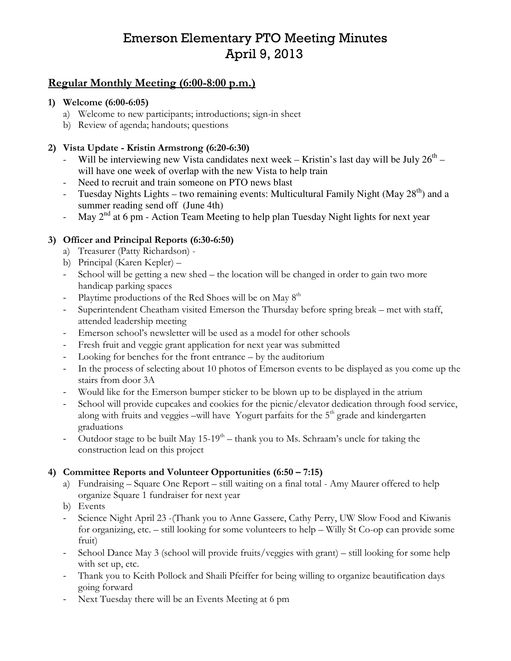# Emerson Elementary PTO Meeting Minutes April 9, 2013

# Regular Monthly Meeting (6:00-8:00 p.m.)

#### 1) Welcome (6:00-6:05)

- a) Welcome to new participants; introductions; sign-in sheet
- b) Review of agenda; handouts; questions

#### 2) Vista Update - Kristin Armstrong (6:20-6:30)

- Will be interviewing new Vista candidates next week Kristin's last day will be July  $26<sup>th</sup>$  will have one week of overlap with the new Vista to help train
- Need to recruit and train someone on PTO news blast
- Tuesday Nights Lights two remaining events: Multicultural Family Night (May 28<sup>th</sup>) and a summer reading send off (June 4th)
- May  $2<sup>nd</sup>$  at 6 pm Action Team Meeting to help plan Tuesday Night lights for next year

#### 3) Officer and Principal Reports (6:30-6:50)

- a) Treasurer (Patty Richardson) -
- b) Principal (Karen Kepler) –
- School will be getting a new shed the location will be changed in order to gain two more handicap parking spaces
- Playtime productions of the Red Shoes will be on May  $8<sup>th</sup>$
- Superintendent Cheatham visited Emerson the Thursday before spring break met with staff, attended leadership meeting
- Emerson school's newsletter will be used as a model for other schools
- Fresh fruit and veggie grant application for next year was submitted
- Looking for benches for the front entrance by the auditorium
- In the process of selecting about 10 photos of Emerson events to be displayed as you come up the stairs from door 3A
- Would like for the Emerson bumper sticker to be blown up to be displayed in the atrium
- School will provide cupcakes and cookies for the picnic/elevator dedication through food service, along with fruits and veggies –will have Yogurt parfaits for the  $5<sup>th</sup>$  grade and kindergarten graduations
- Outdoor stage to be built May  $15{\text -}19^{\text{th}}$  thank you to Ms. Schraam's uncle for taking the construction lead on this project

## 4) Committee Reports and Volunteer Opportunities (6:50 – 7:15)

- a) Fundraising Square One Report still waiting on a final total Amy Maurer offered to help organize Square 1 fundraiser for next year
- b) Events
- Science Night April 23 -(Thank you to Anne Gassere, Cathy Perry, UW Slow Food and Kiwanis for organizing, etc. – still looking for some volunteers to help – Willy St Co-op can provide some fruit)
- School Dance May 3 (school will provide fruits/veggies with grant) still looking for some help with set up, etc.
- Thank you to Keith Pollock and Shaili Pfeiffer for being willing to organize beautification days going forward
- Next Tuesday there will be an Events Meeting at 6 pm